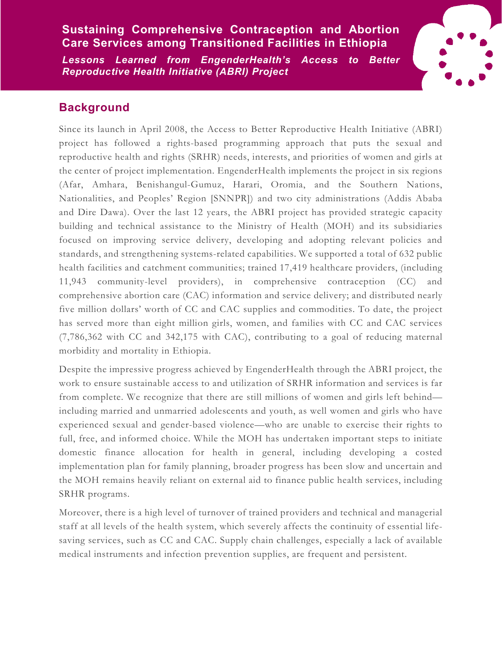## **Sustaining Comprehensive Contraception and Abortion Care Services among Transitioned Facilities in Ethiopia**

*Lessons Learned from EngenderHealth's Access to Better Reproductive Health Initiative (ABRI) Project*



## **Background**

Since its launch in April 2008, the Access to Better Reproductive Health Initiative (ABRI) project has followed a rights-based programming approach that puts the sexual and reproductive health and rights (SRHR) needs, interests, and priorities of women and girls at the center of project implementation. EngenderHealth implements the project in six regions (Afar, Amhara, Benishangul-Gumuz, Harari, Oromia, and the Southern Nations, Nationalities, and Peoples' Region [SNNPR]) and two city administrations (Addis Ababa and Dire Dawa). Over the last 12 years, the ABRI project has provided strategic capacity building and technical assistance to the Ministry of Health (MOH) and its subsidiaries focused on improving service delivery, developing and adopting relevant policies and standards, and strengthening systems-related capabilities. We supported a total of 632 public health facilities and catchment communities; trained 17,419 healthcare providers, (including 11,943 community-level providers), in comprehensive contraception (CC) and comprehensive abortion care (CAC) information and service delivery; and distributed nearly five million dollars' worth of CC and CAC supplies and commodities. To date, the project has served more than eight million girls, women, and families with CC and CAC services (7,786,362 with CC and 342,175 with CAC), contributing to a goal of reducing maternal morbidity and mortality in Ethiopia.

Despite the impressive progress achieved by EngenderHealth through the ABRI project, the work to ensure sustainable access to and utilization of SRHR information and services is far from complete. We recognize that there are still millions of women and girls left behind including married and unmarried adolescents and youth, as well women and girls who have experienced sexual and gender-based violence—who are unable to exercise their rights to full, free, and informed choice. While the MOH has undertaken important steps to initiate domestic finance allocation for health in general, including developing a costed implementation plan for family planning, broader progress has been slow and uncertain and the MOH remains heavily reliant on external aid to finance public health services, including SRHR programs.

Moreover, there is a high level of turnover of trained providers and technical and managerial staff at all levels of the health system, which severely affects the continuity of essential lifesaving services, such as CC and CAC. Supply chain challenges, especially a lack of available medical instruments and infection prevention supplies, are frequent and persistent.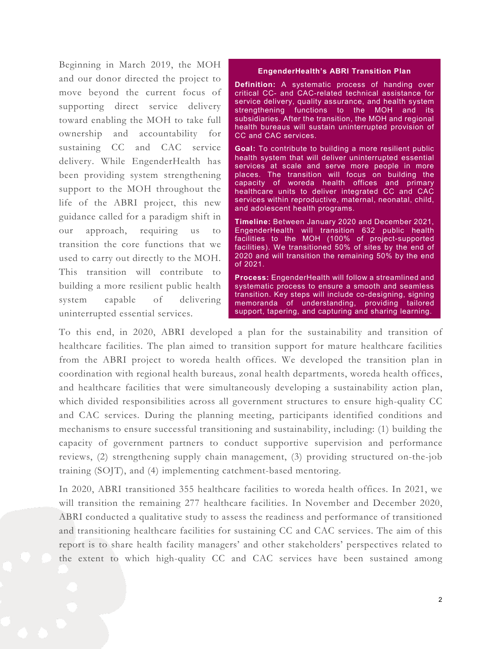Beginning in March 2019, the MOH and our donor directed the project to move beyond the current focus of supporting direct service delivery toward enabling the MOH to take full ownership and accountability for sustaining CC and CAC service delivery. While EngenderHealth has been providing system strengthening support to the MOH throughout the life of the ABRI project, this new guidance called for a paradigm shift in our approach, requiring us to transition the core functions that we used to carry out directly to the MOH. This transition will contribute to building a more resilient public health system capable of delivering uninterrupted essential services.

#### **EngenderHealth's ABRI Transition Plan**

**Definition:** A systematic process of handing over critical CC- and CAC-related technical assistance for service delivery, quality assurance, and health system strengthening functions to the MOH and its subsidiaries. After the transition, the MOH and regional health bureaus will sustain uninterrupted provision of CC and CAC services.

**Goal:** To contribute to building a more resilient public health system that will deliver uninterrupted essential services at scale and serve more people in more places. The transition will focus on building the capacity of woreda health offices and primary healthcare units to deliver integrated CC and CAC services within reproductive, maternal, neonatal, child, and adolescent health programs.

**Timeline:** Between January 2020 and December 2021, EngenderHealth will transition 632 public health facilities to the MOH (100% of project-supported facilities). We transitioned 50% of sites by the end of 2020 and will transition the remaining 50% by the end of 2021.

**Process:** EngenderHealth will follow a streamlined and systematic process to ensure a smooth and seamless transition. Key steps will include co-designing, signing memoranda of understanding, providing tailored support, tapering, and capturing and sharing learning.

To this end, in 2020, ABRI developed a plan for the sustainability and transition of healthcare facilities. The plan aimed to transition support for mature healthcare facilities from the ABRI project to woreda health offices. We developed the transition plan in coordination with regional health bureaus, zonal health departments, woreda health offices, and healthcare facilities that were simultaneously developing a sustainability action plan, which divided responsibilities across all government structures to ensure high-quality CC and CAC services. During the planning meeting, participants identified conditions and mechanisms to ensure successful transitioning and sustainability, including: (1) building the capacity of government partners to conduct supportive supervision and performance reviews, (2) strengthening supply chain management, (3) providing structured on-the-job training (SOJT), and (4) implementing catchment-based mentoring.

In 2020, ABRI transitioned 355 healthcare facilities to woreda health offices. In 2021, we will transition the remaining 277 healthcare facilities. In November and December 2020, ABRI conducted a qualitative study to assess the readiness and performance of transitioned and transitioning healthcare facilities for sustaining CC and CAC services. The aim of this report is to share health facility managers' and other stakeholders' perspectives related to the extent to which high-quality CC and CAC services have been sustained among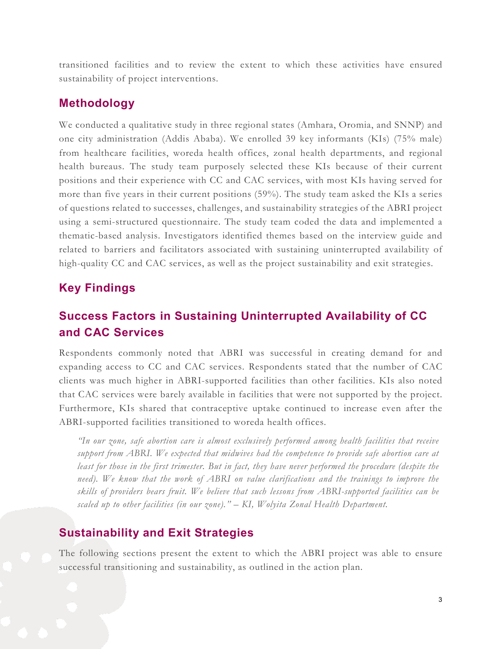transitioned facilities and to review the extent to which these activities have ensured sustainability of project interventions.

### **Methodology**

We conducted a qualitative study in three regional states (Amhara, Oromia, and SNNP) and one city administration (Addis Ababa). We enrolled 39 key informants (KIs) (75% male) from healthcare facilities, woreda health offices, zonal health departments, and regional health bureaus. The study team purposely selected these KIs because of their current positions and their experience with CC and CAC services, with most KIs having served for more than five years in their current positions (59%). The study team asked the KIs a series of questions related to successes, challenges, and sustainability strategies of the ABRI project using a semi-structured questionnaire. The study team coded the data and implemented a thematic-based analysis. Investigators identified themes based on the interview guide and related to barriers and facilitators associated with sustaining uninterrupted availability of high-quality CC and CAC services, as well as the project sustainability and exit strategies.

### **Key Findings**

# **Success Factors in Sustaining Uninterrupted Availability of CC and CAC Services**

Respondents commonly noted that ABRI was successful in creating demand for and expanding access to CC and CAC services. Respondents stated that the number of CAC clients was much higher in ABRI-supported facilities than other facilities. KIs also noted that CAC services were barely available in facilities that were not supported by the project. Furthermore, KIs shared that contraceptive uptake continued to increase even after the ABRI-supported facilities transitioned to woreda health offices.

*"In our zone, safe abortion care is almost exclusively performed among health facilities that receive support from ABRI. We expected that midwives had the competence to provide safe abortion care at least for those in the first trimester. But in fact, they have never performed the procedure (despite the need). We know that the work of ABRI on value clarifications and the trainings to improve the skills of providers bears fruit. We believe that such lessons from ABRI-supported facilities can be scaled up to other facilities (in our zone)." – KI, Wolyita Zonal Health Department.* 

### **Sustainability and Exit Strategies**

The following sections present the extent to which the ABRI project was able to ensure successful transitioning and sustainability, as outlined in the action plan.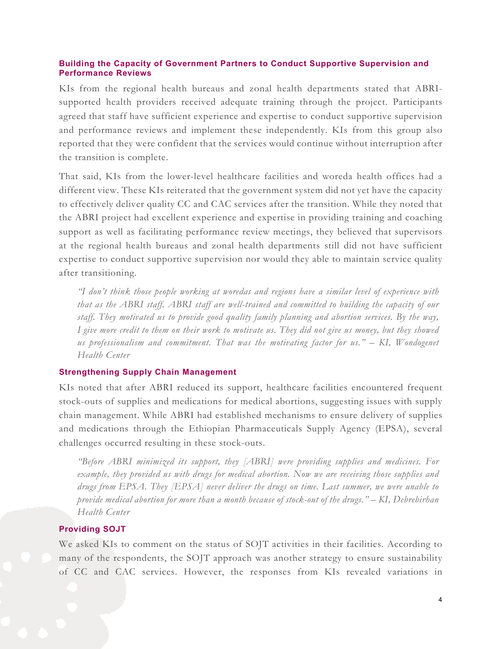#### **Building the Capacity of Government Partners to Conduct Supportive Supervision and Performance Reviews**

KIs from the regional health bureaus and zonal health departments stated that ABRIsupported health providers received adequate training through the project. Participants agreed that staff have sufficient experience and expertise to conduct supportive supervision and performance reviews and implement these independently. KIs from this group also reported that they were confident that the services would continue without interruption after the transition is complete.

That said, KIs from the lower-level healthcare facilities and woreda health offices had a different view. These KIs reiterated that the government system did not yet have the capacity to effectively deliver quality CC and CAC services after the transition. While they noted that the ABRI project had excellent experience and expertise in providing training and coaching support as well as facilitating performance review meetings, they believed that supervisors at the regional health bureaus and zonal health departments still did not have sufficient expertise to conduct supportive supervision nor would they able to maintain service quality after transitioning.

*"I don't think those people working at woredas and regions have a similar level of experience with that as the ABRI staff. ABRI staff are well-trained and committed to building the capacity of our staff. They motivated us to provide good quality family planning and abortion services. By the way, I give more credit to them on their work to motivate us. They did not give us money, but they showed us professionalism and commitment. That was the motivating factor for us." – KI, Wondogenet Health Center*

#### **Strengthening Supply Chain Management**

KIs noted that after ABRI reduced its support, healthcare facilities encountered frequent stock-outs of supplies and medications for medical abortions, suggesting issues with supply chain management. While ABRI had established mechanisms to ensure delivery of supplies and medications through the Ethiopian Pharmaceuticals Supply Agency (EPSA), several challenges occurred resulting in these stock-outs.

*"Before ABRI minimized its support, they [ABRI] were providing supplies and medicines. For example, they provided us with drugs for medical abortion. Now we are receiving those supplies and drugs from EPSA. They [EPSA] never deliver the drugs on time. Last summer, we were unable to provide medical abortion for more than a month because of stock-out of the drugs." – KI, Debrebirhan Health Center* 

### **Providing SOJT**

We asked KIs to comment on the status of SOJT activities in their facilities. According to many of the respondents, the SOJT approach was another strategy to ensure sustainability of CC and CAC services. However, the responses from KIs revealed variations in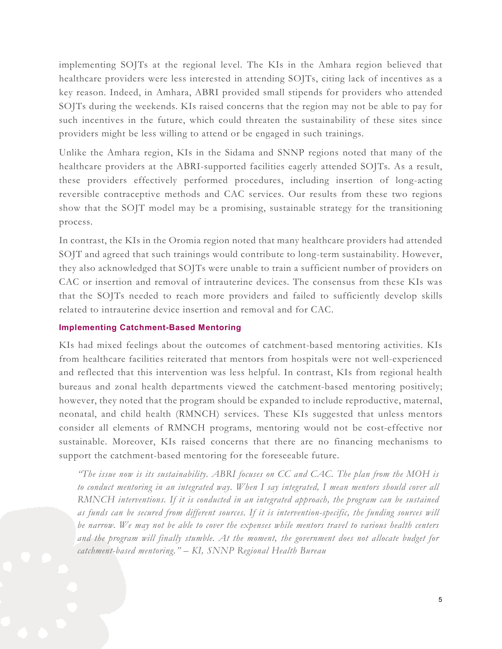implementing SOJTs at the regional level. The KIs in the Amhara region believed that healthcare providers were less interested in attending SOJTs, citing lack of incentives as a key reason. Indeed, in Amhara, ABRI provided small stipends for providers who attended SOJTs during the weekends. KIs raised concerns that the region may not be able to pay for such incentives in the future, which could threaten the sustainability of these sites since providers might be less willing to attend or be engaged in such trainings.

Unlike the Amhara region, KIs in the Sidama and SNNP regions noted that many of the healthcare providers at the ABRI-supported facilities eagerly attended SOJTs. As a result, these providers effectively performed procedures, including insertion of long-acting reversible contraceptive methods and CAC services. Our results from these two regions show that the SOJT model may be a promising, sustainable strategy for the transitioning process.

In contrast, the KIs in the Oromia region noted that many healthcare providers had attended SOJT and agreed that such trainings would contribute to long-term sustainability. However, they also acknowledged that SOJTs were unable to train a sufficient number of providers on CAC or insertion and removal of intrauterine devices. The consensus from these KIs was that the SOJTs needed to reach more providers and failed to sufficiently develop skills related to intrauterine device insertion and removal and for CAC.

#### **Implementing Catchment-Based Mentoring**

KIs had mixed feelings about the outcomes of catchment-based mentoring activities. KIs from healthcare facilities reiterated that mentors from hospitals were not well-experienced and reflected that this intervention was less helpful. In contrast, KIs from regional health bureaus and zonal health departments viewed the catchment-based mentoring positively; however, they noted that the program should be expanded to include reproductive, maternal, neonatal, and child health (RMNCH) services. These KIs suggested that unless mentors consider all elements of RMNCH programs, mentoring would not be cost-effective nor sustainable. Moreover, KIs raised concerns that there are no financing mechanisms to support the catchment-based mentoring for the foreseeable future.

*"The issue now is its sustainability. ABRI focuses on CC and CAC. The plan from the MOH is to conduct mentoring in an integrated way. When I say integrated, I mean mentors should cover all RMNCH interventions. If it is conducted in an integrated approach, the program can be sustained as funds can be secured from different sources. If it is intervention-specific, the funding sources will be narrow. We may not be able to cover the expenses while mentors travel to various health centers and the program will finally stumble. At the moment, the government does not allocate budget for catchment-based mentoring." – KI, SNNP Regional Health Bureau*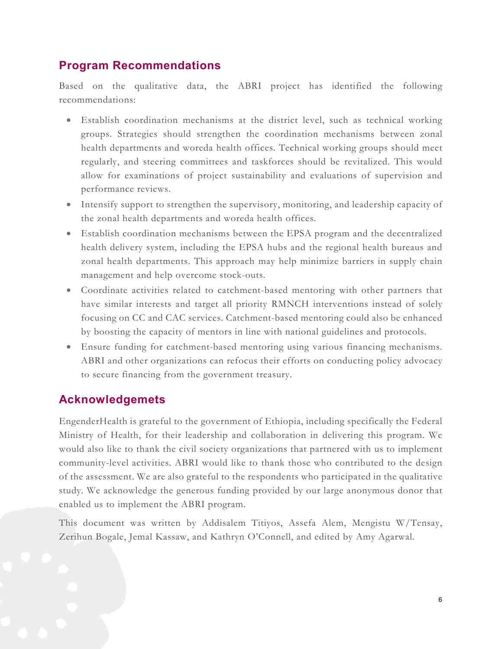## **Program Recommendations**

Based on the qualitative data, the ABRI project has identified the following recommendations:

- Establish coordination mechanisms at the district level, such as technical working groups. Strategies should strengthen the coordination mechanisms between zonal health departments and woreda health offices. Technical working groups should meet regularly, and steering committees and taskforces should be revitalized. This would allow for examinations of project sustainability and evaluations of supervision and performance reviews.
- Intensify support to strengthen the supervisory, monitoring, and leadership capacity of the zonal health departments and woreda health offices.
- Establish coordination mechanisms between the EPSA program and the decentralized health delivery system, including the EPSA hubs and the regional health bureaus and zonal health departments. This approach may help minimize barriers in supply chain management and help overcome stock-outs.
- Coordinate activities related to catchment-based mentoring with other partners that have similar interests and target all priority RMNCH interventions instead of solely focusing on CC and CAC services. Catchment-based mentoring could also be enhanced by boosting the capacity of mentors in line with national guidelines and protocols.
- Ensure funding for catchment-based mentoring using various financing mechanisms. ABRI and other organizations can refocus their efforts on conducting policy advocacy to secure financing from the government treasury.

## **Acknowledgemets**

EngenderHealth is grateful to the government of Ethiopia, including specifically the Federal Ministry of Health, for their leadership and collaboration in delivering this program. We would also like to thank the civil society organizations that partnered with us to implement community-level activities. ABRI would like to thank those who contributed to the design of the assessment. We are also grateful to the respondents who participated in the qualitative study. We acknowledge the generous funding provided by our large anonymous donor that enabled us to implement the ABRI program.

This document was written by Addisalem Titiyos, Assefa Alem, Mengistu W/Tensay, Zerihun Bogale, Jemal Kassaw, and Kathryn O'Connell, and edited by Amy Agarwal.